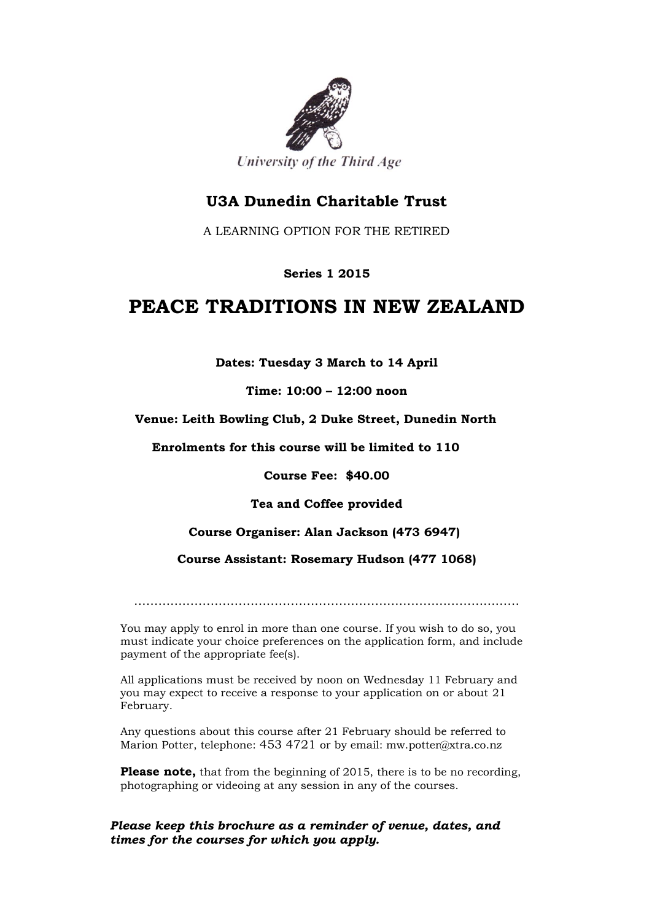

# **U3A Dunedin Charitable Trust**

A LEARNING OPTION FOR THE RETIRED

## **Series 1 2015**

# **PEACE TRADITIONS IN NEW ZEALAND**

**Dates: Tuesday 3 March to 14 April**

**Time: 10:00 – 12:00 noon**

#### **Venue: Leith Bowling Club, 2 Duke Street, Dunedin North**

 **Enrolments for this course will be limited to 110**

**Course Fee: \$40.00**

**Tea and Coffee provided**

## **Course Organiser: Alan Jackson (473 6947)**

**Course Assistant: Rosemary Hudson (477 1068)**

……………………………………………………………………………………

You may apply to enrol in more than one course. If you wish to do so, you must indicate your choice preferences on the application form, and include payment of the appropriate fee(s).

All applications must be received by noon on Wednesday 11 February and you may expect to receive a response to your application on or about 21 February.

Any questions about this course after 21 February should be referred to Marion Potter, telephone: 453 4721 or by email: mw.potter@xtra.co.nz

**Please note,** that from the beginning of 2015, there is to be no recording, photographing or videoing at any session in any of the courses.

#### *Please keep this brochure as a reminder of venue, dates, and times for the courses for which you apply.*